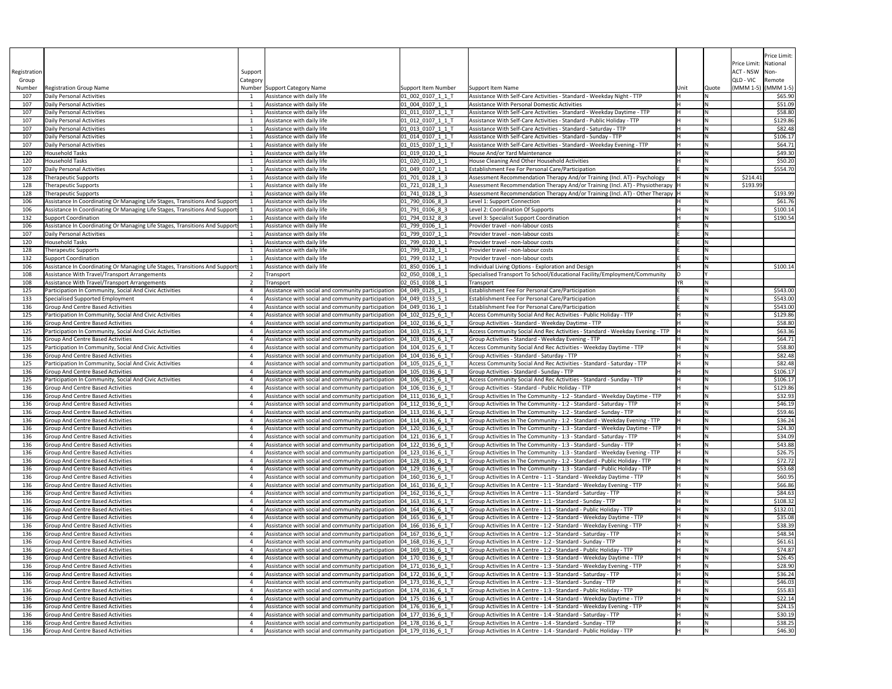|                    |                                                                                                     |          |                                                                                                                                                              |                                                 |                                                                                                                                                               |      |       |                                      | Price Limit:         |
|--------------------|-----------------------------------------------------------------------------------------------------|----------|--------------------------------------------------------------------------------------------------------------------------------------------------------------|-------------------------------------------------|---------------------------------------------------------------------------------------------------------------------------------------------------------------|------|-------|--------------------------------------|----------------------|
|                    |                                                                                                     |          |                                                                                                                                                              |                                                 |                                                                                                                                                               |      |       | Price Limit:   National              |                      |
| Registration       |                                                                                                     | Support  |                                                                                                                                                              |                                                 |                                                                                                                                                               |      |       | ACT - NSW   Non-                     |                      |
| Group              | <b>Registration Group Name</b>                                                                      | Category |                                                                                                                                                              |                                                 | Support Item Name                                                                                                                                             |      |       | QLD - VIC<br>$(MMM 1-5)$ $(MMM 1-5)$ | Remote               |
| Number<br>107      | Daily Personal Activities                                                                           |          | Number Support Category Name<br>Assistance with daily life                                                                                                   | <b>Support Item Number</b><br>01 002 0107 1 1 1 | Assistance With Self-Care Activities - Standard - Weekday Night - TTP                                                                                         | Unit | Quote |                                      | \$65.90              |
| 107                | Daily Personal Activities                                                                           |          | Assistance with daily life                                                                                                                                   | $[01]$ 004 0107 1 1                             | Assistance With Personal Domestic Activities                                                                                                                  |      |       |                                      | \$51.09              |
| 107                | Daily Personal Activities                                                                           |          | Assistance with daily life                                                                                                                                   | 01_011_0107_1_1_T                               | Assistance With Self-Care Activities - Standard - Weekday Daytime - TTP                                                                                       |      |       |                                      | \$58.80              |
| 107                | Daily Personal Activities                                                                           |          | Assistance with daily life                                                                                                                                   | 01_012_0107_1_1_T                               | Assistance With Self-Care Activities - Standard - Public Holiday - TTP                                                                                        |      |       |                                      | \$129.86             |
| 107<br>107         | Daily Personal Activities<br>Daily Personal Activities                                              |          | Assistance with daily life<br>Assistance with daily life                                                                                                     | $[01_013_0107_11_1]$<br>01_014_0107_1_1_1       | Assistance With Self-Care Activities - Standard - Saturday - TTP<br>Assistance With Self-Care Activities - Standard - Sunday - TTP                            |      |       |                                      | \$82.48<br>\$106.17  |
| 107                | Daily Personal Activities                                                                           |          | Assistance with daily life                                                                                                                                   | $[01_015_0107_11_T$                             | Assistance With Self-Care Activities - Standard - Weekday Evening - TTP                                                                                       |      |       |                                      | \$64.71              |
| 120                | Household Tasks                                                                                     |          | Assistance with daily life                                                                                                                                   | 01 019 0120 1 1                                 | House And/or Yard Maintenance                                                                                                                                 |      |       |                                      | \$49.30              |
| 120                | Household Tasks                                                                                     |          | Assistance with daily life                                                                                                                                   | 01 020 0120 1 1                                 | House Cleaning And Other Household Activities                                                                                                                 |      |       |                                      | \$50.20              |
| 10 <sub>l</sub>    | Daily Personal Activities                                                                           |          | Assistance with daily life                                                                                                                                   | $[01]$ $049$ $0107$ $1$ $1$                     | <b>Establishment Fee For Personal Care/Participation</b>                                                                                                      |      |       |                                      | \$554.70             |
| 128<br>128         | <b>Therapeutic Supports</b><br><b>Therapeutic Supports</b>                                          |          | Assistance with daily life<br>Assistance with daily life                                                                                                     | 01 701 0128 1 3<br>$[01]$ 721 0128 1 3          | Assessment Recommendation Therapy And/or Training (Incl. AT) - Psychology<br>Assessment Recommendation Therapy And/or Training (Incl. AT) - Physiotherapy   H |      | ΙN    | \$214.41<br>\$193.99                 |                      |
| 128                | <b>Therapeutic Supports</b>                                                                         |          | Assistance with daily life                                                                                                                                   | 01 741 0128 1 3                                 | Assessment Recommendation Therapy And/or Training (Incl. AT) - Other Therapy  H                                                                               |      |       |                                      | \$193.99             |
| 106                | Assistance In Coordinating Or Managing Life Stages, Transitions And Support                         |          | Assistance with daily life                                                                                                                                   | 01 790 0106 8 3                                 | Level 1: Support Connection                                                                                                                                   |      |       |                                      | \$61.76              |
| 106                | Assistance In Coordinating Or Managing Life Stages, Transitions And Support                         |          | Assistance with daily life                                                                                                                                   | 01_791_0106_8_3                                 | Level 2: Coordination Of Supports                                                                                                                             |      |       |                                      | \$100.14             |
| 132                | Support Coordination                                                                                |          | Assistance with daily life                                                                                                                                   | 01_794_0132_8_3                                 | Level 3: Specialist Support Coordination                                                                                                                      |      |       |                                      | \$190.54             |
| 106                | Assistance In Coordinating Or Managing Life Stages, Transitions And Support                         |          | Assistance with daily life                                                                                                                                   | $[01]$ 799_0106_1_1                             | Provider travel - non-labour costs                                                                                                                            |      |       |                                      |                      |
| 120                | Daily Personal Activities<br>Household Tasks                                                        |          | Assistance with daily life<br>Assistance with daily life                                                                                                     | $[01]$ 799 0107 1 1<br>01 799 0120 1 1          | Provider travel - non-labour costs<br>Provider travel - non-labour costs                                                                                      |      |       |                                      |                      |
| 128                | <b>Therapeutic Supports</b>                                                                         |          | Assistance with daily life                                                                                                                                   | 01 799 0128 1 1                                 | Provider travel - non-labour costs                                                                                                                            |      |       |                                      |                      |
| 132                | Support Coordination                                                                                |          | Assistance with daily life                                                                                                                                   | 01_799_0132_1_1                                 | Provider travel - non-labour costs                                                                                                                            |      |       |                                      |                      |
| 106                | Assistance In Coordinating Or Managing Life Stages, Transitions And Support                         |          | Assistance with daily life                                                                                                                                   | 01_850_0106_1_1                                 | Individual Living Options - Exploration and Design                                                                                                            |      |       |                                      | \$100.14             |
| 108                | Assistance With Travel/Transport Arrangements                                                       |          | Transport                                                                                                                                                    | 02 050 0108 1 1                                 | Specialised Transport To School/Educational Facility/Employment/Community                                                                                     |      |       |                                      |                      |
| 108                | Assistance With Travel/Transport Arrangements                                                       |          | Transport                                                                                                                                                    | 02 051 0108 1 1                                 | Transport                                                                                                                                                     |      |       |                                      |                      |
| <u> 125</u><br>133 | Participation In Community, Social And Civic Activities<br>Specialised Supported Employment         |          | Assistance with social and community participation $\vert$ 04 049 0125 1 1<br>Assistance with social and community participation   04_049_0133_5_1           |                                                 | Establishment Fee For Personal Care/Participation<br><b>Establishment Fee For Personal Care/Participation</b>                                                 |      |       |                                      | \$543.00<br>\$543.00 |
| 136                | Group And Centre Based Activities                                                                   |          | Assistance with social and community participation   04_049_0136_1_1                                                                                         |                                                 | <b>Establishment Fee For Personal Care/Participation</b>                                                                                                      |      |       |                                      | \$543.00             |
| 125                | Participation In Community, Social And Civic Activities                                             |          | Assistance with social and community participation   04_102_0125_6_1_T                                                                                       |                                                 | Access Community Social And Rec Activities - Public Holiday - TTP                                                                                             |      |       |                                      | \$129.86             |
| 136                | Group And Centre Based Activities                                                                   |          | Assistance with social and community participation $\vert$ 04 102 0136 6 1 T                                                                                 |                                                 | Group Activities - Standard - Weekday Daytime - TTP                                                                                                           |      |       |                                      | \$58.80              |
| 125                | Participation In Community, Social And Civic Activities                                             |          | Assistance with social and community participation $\vert$ 04 103 0125 6 1 1                                                                                 |                                                 | Access Community Social And Rec Activities - Standard - Weekday Evening - TTP                                                                                 |      |       |                                      | \$63.36              |
| 136                | <b>Group And Centre Based Activities</b>                                                            |          | Assistance with social and community participation $\vert$ 04 103 0136 6 1 1<br>Assistance with social and community participation $\vert$ 04 104 0125 6 1 T |                                                 | Group Activities - Standard - Weekday Evening - TTP                                                                                                           |      |       |                                      | \$64.71              |
| <u> 125</u><br>136 | Participation In Community, Social And Civic Activities<br><b>Group And Centre Based Activities</b> |          | Assistance with social and community participation   04_104_0136_6_1_1                                                                                       |                                                 | Access Community Social And Rec Activities - Weekday Daytime - TTP<br>Group Activities - Standard - Saturday - TTP                                            |      |       |                                      | \$58.80<br>\$82.48   |
| 125                | Participation In Community, Social And Civic Activities                                             |          | Assistance with social and community participation $\vert$ 04 105 0125 6 1 T                                                                                 |                                                 | Access Community Social And Rec Activities - Standard - Saturday - TTP                                                                                        |      |       |                                      | \$82.48              |
| 136                | <b>Group And Centre Based Activities</b>                                                            |          | Assistance with social and community participation   04_105_0136_6_1_1                                                                                       |                                                 | Group Activities - Standard - Sunday - TTP                                                                                                                    |      |       |                                      | \$106.17             |
| 125                | Participation In Community, Social And Civic Activities                                             |          | Assistance with social and community participation   04 106 0125 6 1 1                                                                                       |                                                 | Access Community Social And Rec Activities - Standard - Sunday - TTP                                                                                          |      |       |                                      | \$106.17             |
| 136                | <b>Group And Centre Based Activities</b>                                                            |          | Assistance with social and community participation   04_106_0136_6_1_T                                                                                       |                                                 | Group Activities - Standard - Public Holiday - TTP                                                                                                            |      |       |                                      | \$129.86             |
| 136<br>136         | Group And Centre Based Activities<br>Group And Centre Based Activities                              |          | Assistance with social and community participation   04_111_0136_6_1_1<br>Assistance with social and community participation $\vert$ 04 112 0136 6 1 1       |                                                 | Group Activities In The Community - 1:2 - Standard - Weekday Daytime - TTP<br>Group Activities In The Community - 1:2 - Standard - Saturday - TTP             |      |       |                                      | \$32.93<br>\$46.19   |
| 136                | <b>Group And Centre Based Activities</b>                                                            |          | Assistance with social and community participation   04_113_0136_6_1_1                                                                                       |                                                 | Group Activities In The Community - 1:2 - Standard - Sunday - TTP                                                                                             |      |       |                                      | \$59.46              |
| 136                | <b>Group And Centre Based Activities</b>                                                            |          | Assistance with social and community participation   04 114 0136 6 1 1                                                                                       |                                                 | Group Activities In The Community - 1:2 - Standard - Weekday Evening - TTP                                                                                    |      |       |                                      | \$36.24              |
| 136                | Group And Centre Based Activities                                                                   |          | Assistance with social and community participation   04_120_0136_6_1_1                                                                                       |                                                 | Group Activities In The Community - 1:3 - Standard - Weekday Daytime - TTP                                                                                    |      |       |                                      | \$24.30              |
| 136                | <b>Group And Centre Based Activities</b>                                                            |          | Assistance with social and community participation   04_121_0136_6_1_1                                                                                       |                                                 | Group Activities In The Community - 1:3 - Standard - Saturday - TTP                                                                                           |      |       |                                      | \$34.09              |
| 136<br>136         | Group And Centre Based Activities<br><b>Group And Centre Based Activities</b>                       |          | Assistance with social and community participation   04_122_0136_6_1_1<br>Assistance with social and community participation   04_123_0136_6_1_T             |                                                 | Group Activities In The Community - 1:3 - Standard - Sunday - TTP<br>Group Activities In The Community - 1:3 - Standard - Weekday Evening - TTP               |      |       |                                      | \$43.88<br>\$26.75   |
| 136                | <b>Group And Centre Based Activities</b>                                                            |          | Assistance with social and community participation $\vert$ 04 128 0136 6 1 1                                                                                 |                                                 | Group Activities In The Community - 1:2 - Standard - Public Holiday - TTP                                                                                     |      |       |                                      | \$72.72              |
| 136                | Group And Centre Based Activities                                                                   |          | Assistance with social and community participation   04_129_0136_6_1_1                                                                                       |                                                 | Group Activities In The Community - 1:3 - Standard - Public Holiday - TTP                                                                                     |      |       |                                      | \$53.68              |
| 136                | <b>Group And Centre Based Activities</b>                                                            |          | Assistance with social and community participation   04_160_0136_6_1_1                                                                                       |                                                 | Group Activities In A Centre - 1:1 - Standard - Weekday Daytime - TTP                                                                                         |      |       |                                      | \$60.95              |
| 136                | Group And Centre Based Activities                                                                   |          | Assistance with social and community participation $\vert$ 04 161 0136 6 1 1                                                                                 |                                                 | Group Activities In A Centre - 1:1 - Standard - Weekday Evening - TTP                                                                                         |      |       |                                      | \$66.86              |
| 136<br>136         | <b>Group And Centre Based Activities</b><br><b>Group And Centre Based Activities</b>                |          | Assistance with social and community participation   04_162_0136_6_1_1<br>Assistance with social and community participation   04_163_0136_6_1_1             |                                                 | Group Activities In A Centre - 1:1 - Standard - Saturday - TTP<br>Group Activities In A Centre - 1:1 - Standard - Sunday - TTP                                |      |       |                                      | \$84.63<br>\$108.32  |
| 136                | Group And Centre Based Activities                                                                   |          | Assistance with social and community participation   04_164_0136_6_1_1                                                                                       |                                                 | Group Activities In A Centre - 1:1 - Standard - Public Holiday - TTP                                                                                          |      |       |                                      | \$132.01             |
| 136                | <b>Group And Centre Based Activities</b>                                                            |          | Assistance with social and community participation   04_165_0136_6_1_1                                                                                       |                                                 | Group Activities In A Centre - 1:2 - Standard - Weekday Daytime - TTP                                                                                         |      |       |                                      | \$35.08              |
| 136                | Group And Centre Based Activities                                                                   |          | Assistance with social and community participation   04_166_0136_6_1_T                                                                                       |                                                 | Group Activities In A Centre - 1:2 - Standard - Weekday Evening - TTP                                                                                         |      |       |                                      | \$38.39              |
| 136                | <b>Group And Centre Based Activities</b>                                                            |          | Assistance with social and community participation   04 167 0136 6 1 1                                                                                       |                                                 | Group Activities In A Centre - 1:2 - Standard - Saturday - TTP                                                                                                |      |       |                                      | \$48.34              |
| 136                | <b>Group And Centre Based Activities</b>                                                            |          | Assistance with social and community participation   04_168_0136_6_1_1                                                                                       |                                                 | Group Activities In A Centre - 1:2 - Standard - Sunday - TTP                                                                                                  |      |       |                                      | \$61.61              |
| 136<br>136         | <b>Group And Centre Based Activities</b><br><b>Group And Centre Based Activities</b>                |          | Assistance with social and community participation $\vert$ 04 169 0136 6 1 1<br>Assistance with social and community participation $\vert$ 04 170 0136 6 1 1 |                                                 | Group Activities In A Centre - 1:2 - Standard - Public Holiday - TTP<br>Group Activities In A Centre - 1:3 - Standard - Weekday Daytime - TTP                 |      |       |                                      | \$74.87<br>\$26.45   |
| 136                | Group And Centre Based Activities                                                                   |          | Assistance with social and community participation $\left 04\right 171\right.0136\left 6\right 1$                                                            |                                                 | Group Activities In A Centre - 1:3 - Standard - Weekday Evening - TTP                                                                                         |      |       |                                      | \$28.90              |
| 136                | Group And Centre Based Activities                                                                   |          | Assistance with social and community participation   04 172 0136 6 1 1                                                                                       |                                                 | Group Activities In A Centre - 1:3 - Standard - Saturday - TTP                                                                                                |      |       |                                      | \$36.24              |
| 136                | <b>Group And Centre Based Activities</b>                                                            |          | Assistance with social and community participation $\vert$ 04 173 0136 6 1 1                                                                                 |                                                 | Group Activities In A Centre - 1:3 - Standard - Sunday - TTP                                                                                                  |      |       |                                      | \$46.03              |
| 136                | <b>Group And Centre Based Activities</b>                                                            |          | Assistance with social and community participation $\vert$ 04 174 0136 6 1 T                                                                                 |                                                 | Group Activities In A Centre - 1:3 - Standard - Public Holiday - TTP                                                                                          |      |       |                                      | \$55.83              |
| 136                | Group And Centre Based Activities<br>Group And Centre Based Activities                              |          | Assistance with social and community participation   04_175_0136_6_1_T                                                                                       |                                                 | Group Activities In A Centre - 1:4 - Standard - Weekday Daytime - TTP<br>Group Activities In A Centre - 1:4 - Standard - Weekday Evening - TTP                |      |       |                                      | \$22.14              |
| 136<br>136         | Group And Centre Based Activities                                                                   |          | Assistance with social and community participation   04_176_0136_6_1_T<br>Assistance with social and community participation   04_177_0136_6_1_1             |                                                 | Group Activities In A Centre - 1:4 - Standard - Saturday - TTP                                                                                                |      |       |                                      | \$24.15<br>\$30.19   |
| 136                | Group And Centre Based Activities                                                                   |          | Assistance with social and community participation $\vert$ 04_178_0136_6_1_1                                                                                 |                                                 | Group Activities In A Centre - 1:4 - Standard - Sunday - TTP                                                                                                  |      |       |                                      | \$38.25              |
| 136                | Group And Centre Based Activities                                                                   |          | Assistance with social and community participation   04_179_0136_6_1_T                                                                                       |                                                 | Group Activities In A Centre - 1:4 - Standard - Public Holiday - TTP                                                                                          |      |       |                                      | \$46.30              |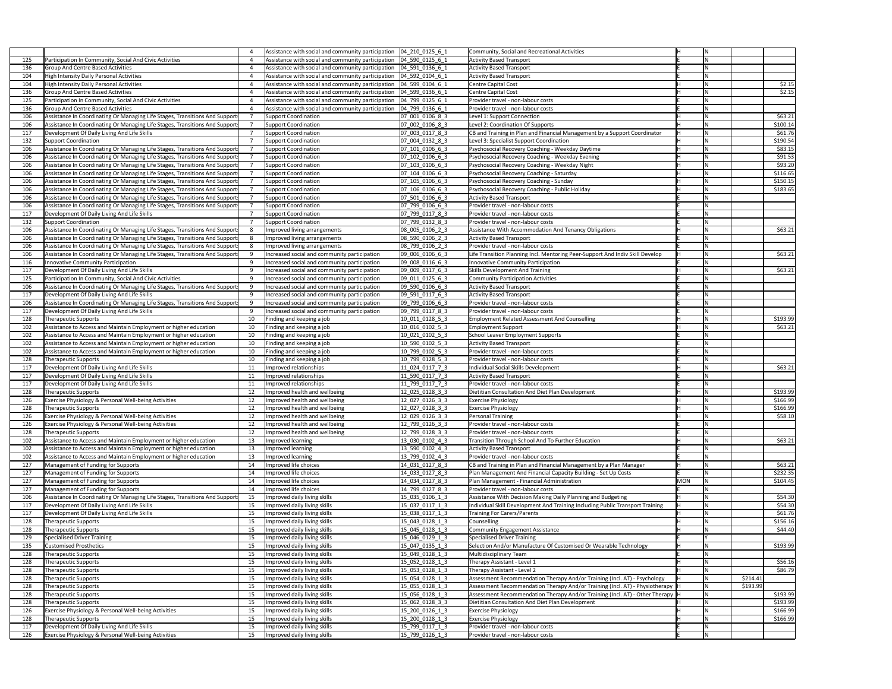|     |                                                                             |     | Assistance with social and community participation   04 210 0125 6 1 |                                                                             | <b>Community, Social and Recreational Activities</b>                            |            |          |
|-----|-----------------------------------------------------------------------------|-----|----------------------------------------------------------------------|-----------------------------------------------------------------------------|---------------------------------------------------------------------------------|------------|----------|
| 125 | Participation In Community, Social And Civic Activities                     |     | Assistance with social and community participation   04_590_0125_6_1 |                                                                             | <b>Activity Based Transport</b>                                                 |            |          |
| 136 | <b>Group And Centre Based Activities</b>                                    |     | Assistance with social and community participation   04_591_0136_6_1 |                                                                             | <b>Activity Based Transport</b>                                                 |            |          |
| 104 | <b>High Intensity Daily Personal Activities</b>                             |     | Assistance with social and community participation                   | $ 04\;592\;0104\;6\;1$                                                      | <b>Activity Based Transport</b>                                                 |            |          |
| 104 | High Intensity Daily Personal Activities                                    |     | Assistance with social and community participation                   | $ 04\;599\;0104\;6\;1$                                                      | <b>Centre Capital Cost</b>                                                      |            | \$2.15   |
| 136 | <b>Group And Centre Based Activities</b>                                    |     | Assistance with social and community participation                   | $\begin{array}{ ccc } \hline 04 & 599 & 0136 & 6 & 1 \\ \hline \end{array}$ | <b>Centre Capital Cost</b>                                                      |            | \$2.15   |
| 125 | Participation In Community, Social And Civic Activities                     |     | Assistance with social and community participation                   | $[04 \ 799 \ 0125 \ 6 \ 1]$                                                 | Provider travel - non-labour costs                                              |            |          |
| 136 | <b>Group And Centre Based Activities</b>                                    |     | Assistance with social and community participation                   | $[04]$ 799 0136 6 1                                                         | Provider travel - non-labour costs                                              |            |          |
| 106 | Assistance In Coordinating Or Managing Life Stages, Transitions And Support |     | Support Coordination                                                 | 07 001 0106 8 3                                                             | Level 1: Support Connection                                                     |            | \$63.21  |
| 106 | Assistance In Coordinating Or Managing Life Stages, Transitions And Support |     | Support Coordination                                                 | 07 002 0106 8 3                                                             | Level 2: Coordination Of Supports                                               |            | \$100.14 |
| 117 | Development Of Daily Living And Life Skills                                 |     | Support Coordination                                                 | 07 003 0117 8 3                                                             | CB and Training in Plan and Financial Management by a Support Coordinator       |            | \$61.76  |
| 132 | <b>Support Coordination</b>                                                 |     | Support Coordination                                                 | 07 004 0132 8 3                                                             | Level 3: Specialist Support Coordination                                        |            | \$190.54 |
| 106 | Assistance In Coordinating Or Managing Life Stages, Transitions And Support |     | Support Coordination                                                 | 07 101 0106 6 3                                                             | Psychosocial Recovery Coaching - Weekday Daytime                                |            | \$83.15  |
| 106 | Assistance In Coordinating Or Managing Life Stages, Transitions And Support |     | Support Coordination                                                 | 07_102_0106_6_3                                                             | Psychosocial Recovery Coaching - Weekday Evening                                |            | \$91.53  |
| 106 | Assistance In Coordinating Or Managing Life Stages, Transitions And Support |     | Support Coordination                                                 | 07 103 0106 6 3                                                             | Psychosocial Recovery Coaching - Weekday Night                                  |            | \$93.20  |
| 106 | Assistance In Coordinating Or Managing Life Stages, Transitions And Support |     | Support Coordination                                                 | 07 104 0106 6 3                                                             | Psychosocial Recovery Coaching - Saturday                                       |            | \$116.65 |
| 106 | Assistance In Coordinating Or Managing Life Stages, Transitions And Support |     | Support Coordination                                                 | 07 105 0106 63                                                              | Psychosocial Recovery Coaching - Sunday                                         |            | \$150.15 |
| 106 | Assistance In Coordinating Or Managing Life Stages, Transitions And Support |     | Support Coordination                                                 | 07_106_0106_6_3                                                             | Psychosocial Recovery Coaching - Public Holiday                                 |            | \$183.65 |
| 106 | Assistance In Coordinating Or Managing Life Stages, Transitions And Support |     | Support Coordination                                                 | 07 501 0106 6 3                                                             | <b>Activity Based Transport</b>                                                 |            |          |
| 106 | Assistance In Coordinating Or Managing Life Stages, Transitions And Support |     | Support Coordination                                                 | $ 07 $ 799 $ 0106 6 3$                                                      | Provider travel - non-labour costs                                              |            |          |
| 117 | Development Of Daily Living And Life Skills                                 |     | Support Coordination                                                 | 07 799 0117 8 3                                                             | Provider travel - non-labour costs                                              |            |          |
| 132 | Support Coordination                                                        |     | Support Coordination                                                 | 07 799 0132 8 3                                                             | Provider travel - non-labour costs                                              |            |          |
| 106 | Assistance In Coordinating Or Managing Life Stages, Transitions And Support |     | Improved living arrangements                                         | 08 005 0106 2 3                                                             | Assistance With Accommodation And Tenancy Obligations                           |            | \$63.21  |
| 106 | Assistance In Coordinating Or Managing Life Stages, Transitions And Support |     | Improved living arrangements                                         | 08 590 0106 2 3                                                             | <b>Activity Based Transport</b>                                                 |            |          |
| 106 | Assistance In Coordinating Or Managing Life Stages, Transitions And Support |     | Improved living arrangements                                         | 08 799 0106 2 3                                                             | Provider travel - non-labour costs                                              |            |          |
| 106 | Assistance In Coordinating Or Managing Life Stages, Transitions And Support |     | Increased social and community participation                         | 09 006 0106 6 3                                                             | Life Transition Planning Incl. Mentoring Peer-Support And Indiv Skill Develop   |            | \$63.21  |
| 116 | <b>Innovative Community Participation</b>                                   |     | Increased social and community participation                         | 09 008 0116 6 3                                                             | <b>Innovative Community Participation</b>                                       |            |          |
| 117 | Development Of Daily Living And Life Skills                                 |     | Increased social and community participation                         | 09_009_0117_6_3                                                             | <b>Skills Development And Training</b>                                          |            | \$63.21  |
| 125 | Participation In Community, Social And Civic Activities                     |     | Increased social and community participation                         | 09_011_0125_6_3                                                             | <b>Community Participation Activities</b>                                       |            |          |
| 106 | Assistance In Coordinating Or Managing Life Stages, Transitions And Support |     | Increased social and community participation                         | 09 590 0106 6 3                                                             | <b>Activity Based Transport</b>                                                 |            |          |
| 117 | Development Of Daily Living And Life Skills                                 |     | Increased social and community participation                         | 09 591 0117 6 3                                                             | <b>Activity Based Transport</b>                                                 |            |          |
| 106 | Assistance In Coordinating Or Managing Life Stages, Transitions And Support |     | Increased social and community participation                         | 09 799 0106 6 3                                                             | Provider travel - non-labour costs                                              |            |          |
| 117 | Development Of Daily Living And Life Skills                                 |     | Increased social and community participation                         | 09 799 0117 8 3                                                             | Provider travel - non-labour costs                                              |            |          |
| 128 | <b>Therapeutic Supports</b>                                                 | 10  | Finding and keeping a job                                            | 10 011 0128 5 3                                                             | <b>Employment Related Assessment And Counselling</b>                            |            | \$193.99 |
| 102 | Assistance to Access and Maintain Employment or higher education            | -10 | Finding and keeping a job                                            | 10 016 0102 5 3                                                             | <b>Employment Support</b>                                                       |            | \$63.21  |
| 102 | Assistance to Access and Maintain Employment or higher education            | 10  | Finding and keeping a job                                            | 10 021 0102 5 3                                                             | School Leaver Employment Supports                                               |            |          |
| 102 | Assistance to Access and Maintain Employment or higher education            | 10  | Finding and keeping a job                                            | 10 590 0102 5 3                                                             | <b>Activity Based Transport</b>                                                 |            |          |
| 102 | Assistance to Access and Maintain Employment or higher education            | 10  | Finding and keeping a job                                            | 10_799_0102_5_3                                                             | Provider travel - non-labour costs                                              |            |          |
| 128 | Therapeutic Supports                                                        | 10  | Finding and keeping a job                                            | 10_799_0128_5_3                                                             | Provider travel - non-labour costs                                              |            |          |
| 117 | Development Of Daily Living And Life Skills                                 | 11  | Improved relationships                                               | 11_024_0117_7_3                                                             | <b>Individual Social Skills Development</b>                                     |            | \$63.21  |
| 117 | Development Of Daily Living And Life Skills                                 | 11  | Improved relationships                                               | 11_590_0117_7_3                                                             | <b>Activity Based Transport</b>                                                 |            |          |
| 117 | Development Of Daily Living And Life Skills                                 | 11  | Improved relationships                                               | 11_799_0117_7_3                                                             | Provider travel - non-labour costs                                              |            |          |
| 128 | <b>Therapeutic Supports</b>                                                 | 12  | Improved health and wellbeing                                        | 12_025_0128_3_3                                                             | Dietitian Consultation And Diet Plan Development                                |            | \$193.99 |
| 126 | <b>Exercise Physiology &amp; Personal Well-being Activities</b>             | 12  | Improved health and wellbeing                                        | 12 027 0126 3 3                                                             | <b>Exercise Physiology</b>                                                      |            | \$166.99 |
| 128 | <b>Therapeutic Supports</b>                                                 | 12  | Improved health and wellbeing                                        | 12 027 0128 3 3                                                             | <b>Exercise Physiology</b>                                                      |            | \$166.99 |
| 126 | Exercise Physiology & Personal Well-being Activities                        | 12  | Improved health and wellbeing                                        | 12_029_0126_3_3                                                             | <b>Personal Training</b>                                                        |            | \$58.10  |
| 126 | <b>Exercise Physiology &amp; Personal Well-being Activities</b>             | 12  | Improved health and wellbeing                                        | 12 799 0126 3 3                                                             | Provider travel - non-labour costs                                              |            |          |
| 128 | <b>Therapeutic Supports</b>                                                 | 12  | Improved health and wellbeing                                        | 12_799_0128_3_3                                                             | Provider travel - non-labour costs                                              |            |          |
| 102 | Assistance to Access and Maintain Employment or higher education            | 13  | Improved learning                                                    | 13_030_0102_4_3                                                             | Transition Through School And To Further Education                              |            | \$63.21  |
| 102 | Assistance to Access and Maintain Employment or higher education            | 13  | Improved learning                                                    | 13 590 0102 4 3                                                             | <b>Activity Based Transport</b>                                                 |            |          |
| 102 | Assistance to Access and Maintain Employment or higher education            | 13  | Improved learning                                                    | 13 799 0102 4 3                                                             | Provider travel - non-labour costs                                              |            |          |
| 127 | Management of Funding for Supports                                          | 14  | Improved life choices                                                | 14 031 0127 8 3                                                             | CB and Training in Plan and Financial Management by a Plan Manager              |            | \$63.21  |
| 127 | Management of Funding for Supports                                          | 14  | Improved life choices                                                | 14 033 0127 8 3                                                             | Plan Management And Financial Capacity Building - Set Up Costs                  |            | \$232.35 |
| 127 | Management of Funding for Supports                                          | 14  | Improved life choices                                                | 14 034 0127 8 3                                                             | Plan Management - Financial Administration                                      | <b>MON</b> | \$104.45 |
| 127 | Management of Funding for Supports                                          | 14  | Improved life choices                                                | 14_799_0127_8_3                                                             | Provider travel - non-labour costs                                              |            |          |
| 106 | Assistance In Coordinating Or Managing Life Stages, Transitions And Support | 15  | Improved daily living skills                                         | 15 035 0106 1 3                                                             | Assistance With Decision Making Daily Planning and Budgeting                    |            | \$54.30  |
| 117 | Development Of Daily Living And Life Skills                                 | 15  | Improved daily living skills                                         | 15 037 0117 1 3                                                             | Individual Skill Development And Training Including Public Transport Training   |            | \$54.30  |
| 117 | Development Of Daily Living And Life Skills                                 | 15  | Improved daily living skills                                         | 15_038_0117_1_3                                                             | Training For Carers/Parents                                                     |            | \$61.76  |
| 128 | <b>Therapeutic Supports</b>                                                 | 15  | Improved daily living skills                                         | 15 043 0128 1 3                                                             | Counselling                                                                     |            | \$156.16 |
| 128 | <b>Therapeutic Supports</b>                                                 | 15  | Improved daily living skills                                         | 15 045 0128 1 3                                                             | <b>Community Engagement Assistance</b>                                          |            | \$44.40  |
| 129 | <b>Specialised Driver Training</b>                                          | 15  | Improved daily living skills                                         | 15 046 0129 1 3                                                             | Specialised Driver Training                                                     |            |          |
| 135 | <b>Customised Prosthetics</b>                                               | 15  | Improved daily living skills                                         | 15_047_0135_1_3                                                             | Selection And/or Manufacture Of Customised Or Wearable Technology               |            | \$193.99 |
| 128 | <b>Therapeutic Supports</b>                                                 | 15  | Improved daily living skills                                         | 15_049_0128_1_3                                                             | Multidisciplinary Team                                                          |            |          |
| 128 | <b>Therapeutic Supports</b>                                                 | 15  | Improved daily living skills                                         | 15_052_0128_1_3                                                             | Therapy Assistant - Level 1                                                     |            | \$56.16  |
| 128 | <b>Therapeutic Supports</b>                                                 | 15  | Improved daily living skills                                         | 15_053_0128_1_3                                                             | Therapy Assistant - Level 2                                                     |            | \$86.79  |
| 128 | <b>Therapeutic Supports</b>                                                 | 15  | Improved daily living skills                                         | 15_054_0128_1_3                                                             | Assessment Recommendation Therapy And/or Training (Incl. AT) - Psychology       |            | \$214.41 |
| 128 | Therapeutic Supports                                                        | 15  | Improved daily living skills                                         | 15_055_0128_1_3                                                             | Assessment Recommendation Therapy And/or Training (Incl. AT) - Physiotherapy  H |            | \$193.99 |
| 128 | <b>Therapeutic Supports</b>                                                 | 15  | Improved daily living skills                                         | 15_056_0128_1_3                                                             | Assessment Recommendation Therapy And/or Training (Incl. AT) - Other Therapy  H |            | \$193.99 |
| 128 | <b>Therapeutic Supports</b>                                                 | 15  | Improved daily living skills                                         | 15_062_0128_3_3                                                             | Dietitian Consultation And Diet Plan Development                                |            | \$193.99 |
| 126 | <b>Exercise Physiology &amp; Personal Well-being Activities</b>             | 15  | Improved daily living skills                                         | 15_200_0126_1_3                                                             | <b>Exercise Physiology</b>                                                      |            | \$166.99 |
| 128 | <b>Therapeutic Supports</b>                                                 | 15  | Improved daily living skills                                         | 15_200_0128_1_3                                                             | <b>Exercise Physiology</b>                                                      |            | \$166.99 |
| 117 | Development Of Daily Living And Life Skills                                 | 15  | Improved daily living skills                                         | 15_799_0117_1_3                                                             | Provider travel - non-labour costs                                              |            |          |
| 126 | Exercise Physiology & Personal Well-being Activities                        | 15  | Improved daily living skills                                         | 15_799_0126_1_3                                                             | Provider travel - non-labour costs                                              |            |          |
|     |                                                                             |     |                                                                      |                                                                             |                                                                                 |            |          |